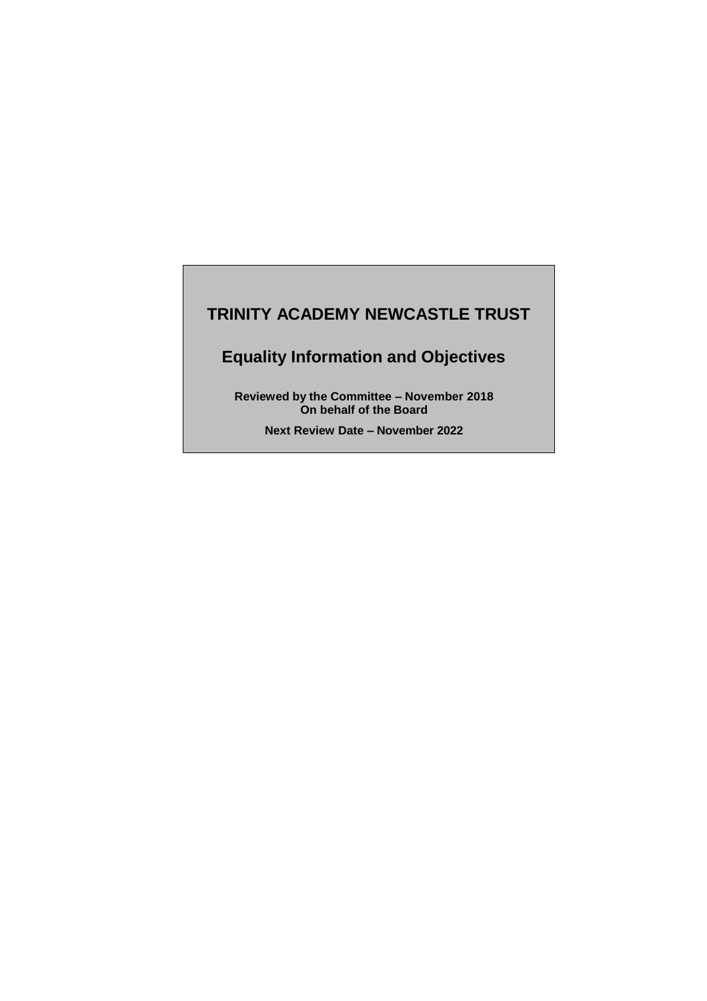# **TRINITY ACADEMY NEWCASTLE TRUST**

# **Equality Information and Objectives**

**Reviewed by the Committee – November 2018 On behalf of the Board**

**Next Review Date – November 2022**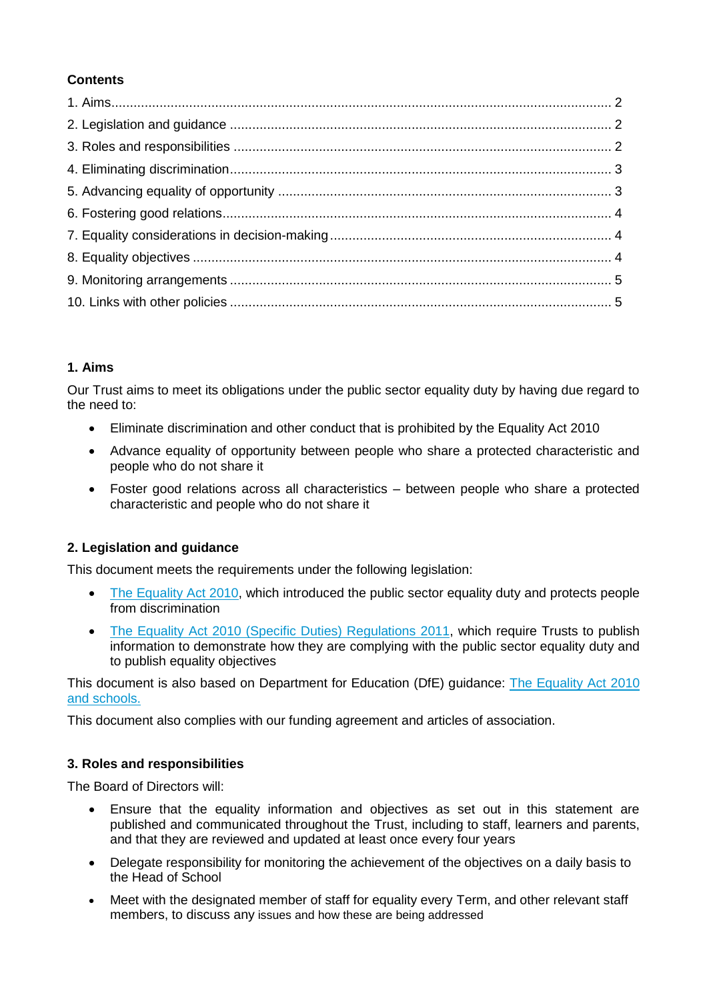## **Contents**

## **1. Aims**

Our Trust aims to meet its obligations under the public sector equality duty by having due regard to the need to:

- Eliminate discrimination and other conduct that is prohibited by the Equality Act 2010
- Advance equality of opportunity between people who share a protected characteristic and people who do not share it
- Foster good relations across all characteristics between people who share a protected characteristic and people who do not share it

# **2. Legislation and guidance**

This document meets the requirements under the following legislation:

- [The Equality Act 2010,](http://www.legislation.gov.uk/ukpga/2010/15/contents) which introduced the public sector equality duty and protects people from discrimination
- [The Equality Act 2010 \(Specific Duties\) Regulations 2011,](http://www.legislation.gov.uk/uksi/2011/2260/contents/made) which require Trusts to publish information to demonstrate how they are complying with the public sector equality duty and to publish equality objectives

This document is also based on Department for Education (DfE) guidance: [The Equality Act 2010](https://www.gov.uk/government/uploads/system/uploads/attachment_data/file/315587/Equality_Act_Advice_Final.pdf) [and schools.](https://www.gov.uk/government/uploads/system/uploads/attachment_data/file/315587/Equality_Act_Advice_Final.pdf) 

This document also complies with our funding agreement and articles of association.

## **3. Roles and responsibilities**

The Board of Directors will:

- Ensure that the equality information and objectives as set out in this statement are published and communicated throughout the Trust, including to staff, learners and parents, and that they are reviewed and updated at least once every four years
- Delegate responsibility for monitoring the achievement of the objectives on a daily basis to the Head of School
- Meet with the designated member of staff for equality every Term, and other relevant staff members, to discuss any issues and how these are being addressed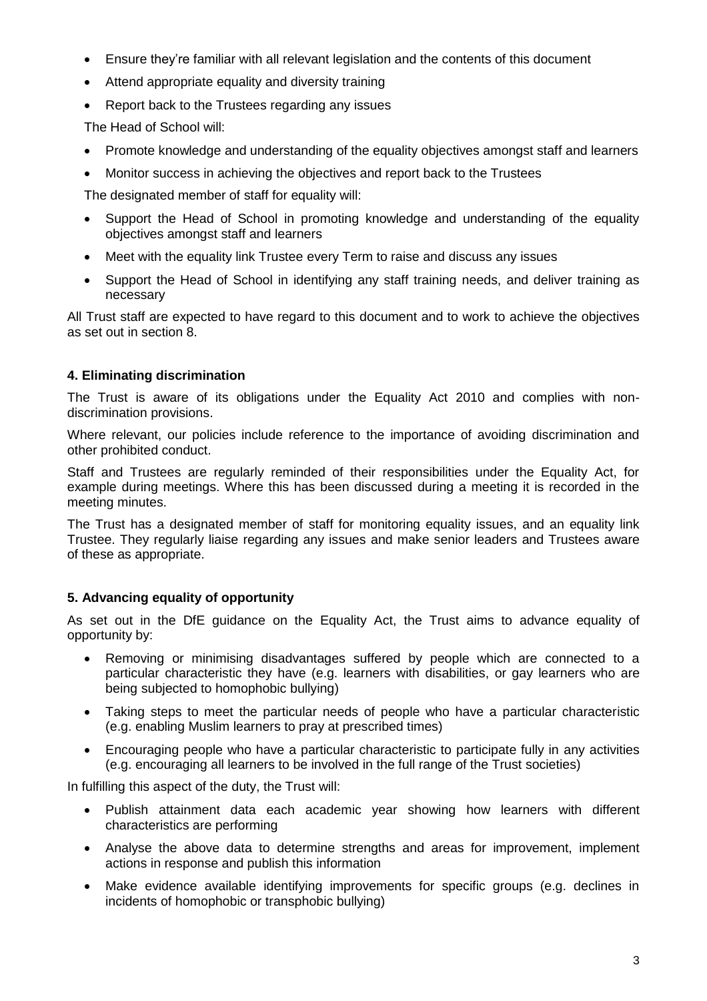- Ensure they're familiar with all relevant legislation and the contents of this document
- Attend appropriate equality and diversity training
- Report back to the Trustees regarding any issues

The Head of School will:

- Promote knowledge and understanding of the equality objectives amongst staff and learners
- Monitor success in achieving the objectives and report back to the Trustees

The designated member of staff for equality will:

- Support the Head of School in promoting knowledge and understanding of the equality objectives amongst staff and learners
- Meet with the equality link Trustee every Term to raise and discuss any issues
- Support the Head of School in identifying any staff training needs, and deliver training as necessary

All Trust staff are expected to have regard to this document and to work to achieve the objectives as set out in section 8.

## **4. Eliminating discrimination**

The Trust is aware of its obligations under the Equality Act 2010 and complies with nondiscrimination provisions.

Where relevant, our policies include reference to the importance of avoiding discrimination and other prohibited conduct.

Staff and Trustees are regularly reminded of their responsibilities under the Equality Act, for example during meetings. Where this has been discussed during a meeting it is recorded in the meeting minutes.

The Trust has a designated member of staff for monitoring equality issues, and an equality link Trustee. They regularly liaise regarding any issues and make senior leaders and Trustees aware of these as appropriate.

# **5. Advancing equality of opportunity**

As set out in the DfE guidance on the Equality Act, the Trust aims to advance equality of opportunity by:

- Removing or minimising disadvantages suffered by people which are connected to a particular characteristic they have (e.g. learners with disabilities, or gay learners who are being subjected to homophobic bullying)
- Taking steps to meet the particular needs of people who have a particular characteristic (e.g. enabling Muslim learners to pray at prescribed times)
- Encouraging people who have a particular characteristic to participate fully in any activities (e.g. encouraging all learners to be involved in the full range of the Trust societies)

In fulfilling this aspect of the duty, the Trust will:

- Publish attainment data each academic year showing how learners with different characteristics are performing
- Analyse the above data to determine strengths and areas for improvement, implement actions in response and publish this information
- Make evidence available identifying improvements for specific groups (e.g. declines in incidents of homophobic or transphobic bullying)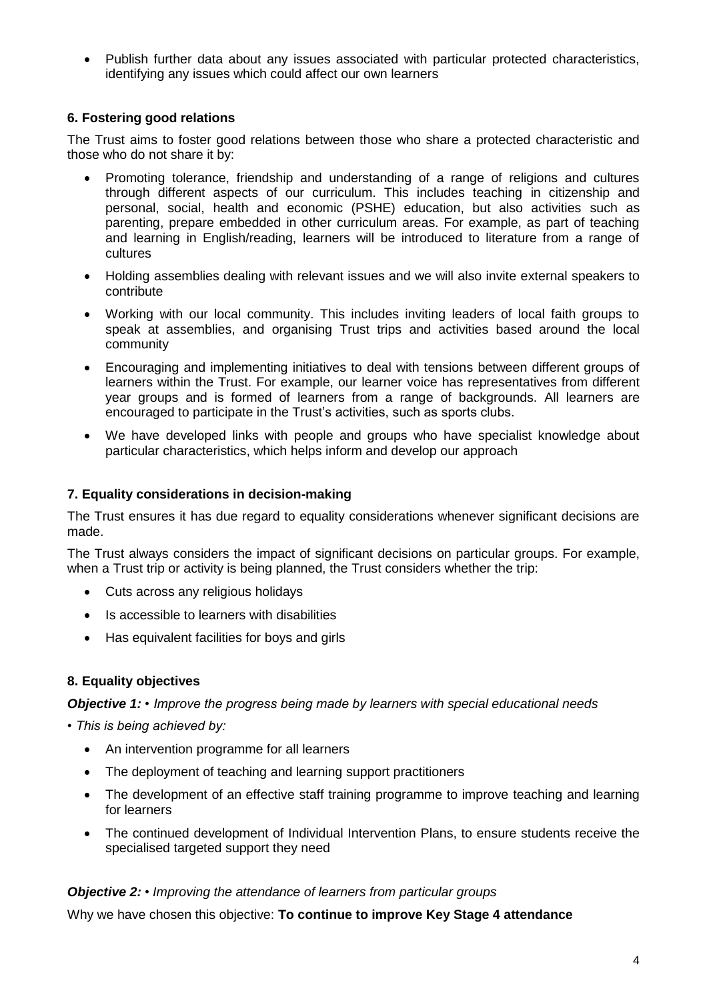Publish further data about any issues associated with particular protected characteristics, identifying any issues which could affect our own learners

## **6. Fostering good relations**

The Trust aims to foster good relations between those who share a protected characteristic and those who do not share it by:

- Promoting tolerance, friendship and understanding of a range of religions and cultures through different aspects of our curriculum. This includes teaching in citizenship and personal, social, health and economic (PSHE) education, but also activities such as parenting, prepare embedded in other curriculum areas. For example, as part of teaching and learning in English/reading, learners will be introduced to literature from a range of cultures
- Holding assemblies dealing with relevant issues and we will also invite external speakers to contribute
- Working with our local community. This includes inviting leaders of local faith groups to speak at assemblies, and organising Trust trips and activities based around the local community
- Encouraging and implementing initiatives to deal with tensions between different groups of learners within the Trust. For example, our learner voice has representatives from different year groups and is formed of learners from a range of backgrounds. All learners are encouraged to participate in the Trust's activities, such as sports clubs.
- We have developed links with people and groups who have specialist knowledge about particular characteristics, which helps inform and develop our approach

#### **7. Equality considerations in decision-making**

The Trust ensures it has due regard to equality considerations whenever significant decisions are made.

The Trust always considers the impact of significant decisions on particular groups. For example, when a Trust trip or activity is being planned, the Trust considers whether the trip:

- Cuts across any religious holidays
- Is accessible to learners with disabilities
- Has equivalent facilities for boys and girls

#### **8. Equality objectives**

#### *Objective 1: • Improve the progress being made by learners with special educational needs*

*• This is being achieved by:*

- An intervention programme for all learners
- The deployment of teaching and learning support practitioners
- The development of an effective staff training programme to improve teaching and learning for learners
- The continued development of Individual Intervention Plans, to ensure students receive the specialised targeted support they need

#### *Objective 2: • Improving the attendance of learners from particular groups*

Why we have chosen this objective: **To continue to improve Key Stage 4 attendance**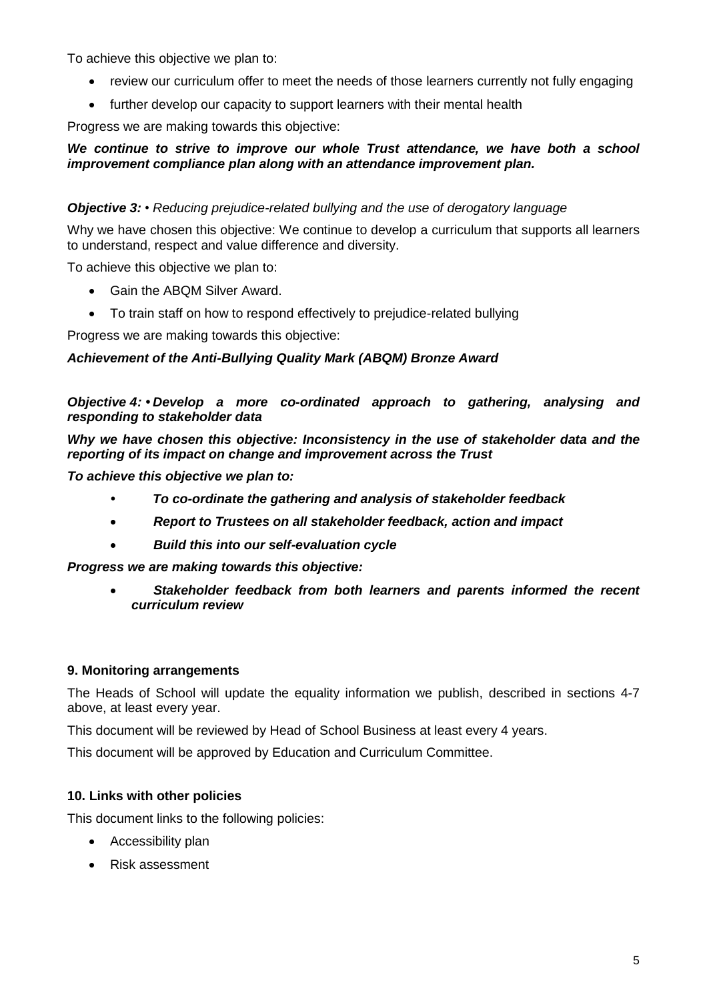To achieve this objective we plan to:

- review our curriculum offer to meet the needs of those learners currently not fully engaging
- further develop our capacity to support learners with their mental health

Progress we are making towards this objective:

#### *We continue to strive to improve our whole Trust attendance, we have both a school improvement compliance plan along with an attendance improvement plan.*

#### *Objective 3: • Reducing prejudice-related bullying and the use of derogatory language*

Why we have chosen this objective: We continue to develop a curriculum that supports all learners to understand, respect and value difference and diversity.

To achieve this objective we plan to:

- Gain the ABQM Silver Award.
- To train staff on how to respond effectively to prejudice-related bullying

Progress we are making towards this objective:

#### *Achievement of the Anti-Bullying Quality Mark (ABQM) Bronze Award*

#### *Objective 4: • Develop a more co-ordinated approach to gathering, analysing and responding to stakeholder data*

*Why we have chosen this objective: Inconsistency in the use of stakeholder data and the reporting of its impact on change and improvement across the Trust*

*To achieve this objective we plan to:*

- *• To co-ordinate the gathering and analysis of stakeholder feedback*
- *Report to Trustees on all stakeholder feedback, action and impact*
- *Build this into our self-evaluation cycle*

*Progress we are making towards this objective:*

 *Stakeholder feedback from both learners and parents informed the recent curriculum review* 

#### **9. Monitoring arrangements**

The Heads of School will update the equality information we publish, described in sections 4-7 above, at least every year.

This document will be reviewed by Head of School Business at least every 4 years.

This document will be approved by Education and Curriculum Committee.

#### **10. Links with other policies**

This document links to the following policies:

- Accessibility plan
- Risk assessment